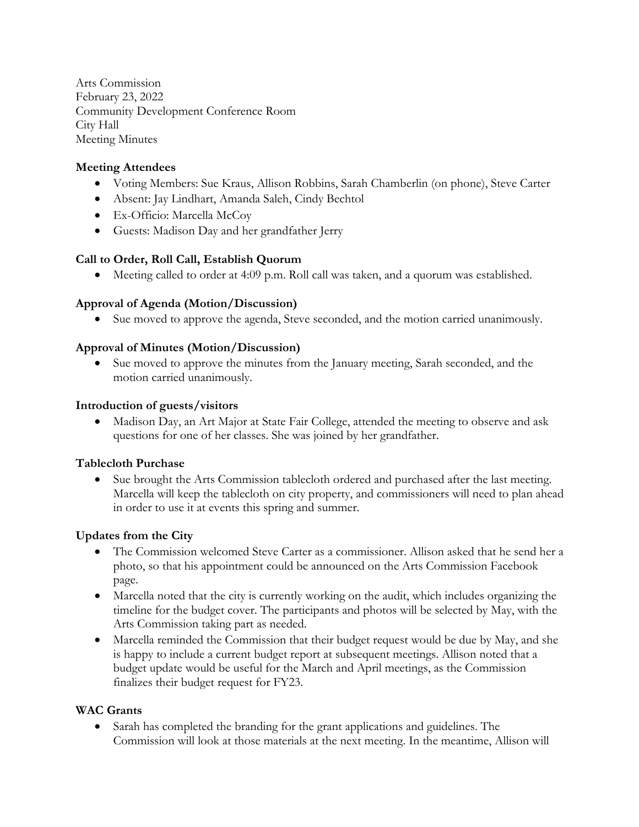Arts Commission February 23, 2022 Community Development Conference Room City Hall Meeting Minutes

# **Meeting Attendees**

- Voting Members: Sue Kraus, Allison Robbins, Sarah Chamberlin (on phone), Steve Carter
- Absent: Jay Lindhart, Amanda Saleh, Cindy Bechtol
- Ex-Officio: Marcella McCoy
- Guests: Madison Day and her grandfather Jerry

## **Call to Order, Roll Call, Establish Quorum**

• Meeting called to order at 4:09 p.m. Roll call was taken, and a quorum was established.

## **Approval of Agenda (Motion/Discussion)**

• Sue moved to approve the agenda, Steve seconded, and the motion carried unanimously.

## **Approval of Minutes (Motion/Discussion)**

• Sue moved to approve the minutes from the January meeting, Sarah seconded, and the motion carried unanimously.

### **Introduction of guests/visitors**

• Madison Day, an Art Major at State Fair College, attended the meeting to observe and ask questions for one of her classes. She was joined by her grandfather.

## **Tablecloth Purchase**

• Sue brought the Arts Commission tablecloth ordered and purchased after the last meeting. Marcella will keep the tablecloth on city property, and commissioners will need to plan ahead in order to use it at events this spring and summer.

## **Updates from the City**

- The Commission welcomed Steve Carter as a commissioner. Allison asked that he send her a photo, so that his appointment could be announced on the Arts Commission Facebook page.
- Marcella noted that the city is currently working on the audit, which includes organizing the timeline for the budget cover. The participants and photos will be selected by May, with the Arts Commission taking part as needed.
- Marcella reminded the Commission that their budget request would be due by May, and she is happy to include a current budget report at subsequent meetings. Allison noted that a budget update would be useful for the March and April meetings, as the Commission finalizes their budget request for FY23.

#### **WAC Grants**

• Sarah has completed the branding for the grant applications and guidelines. The Commission will look at those materials at the next meeting. In the meantime, Allison will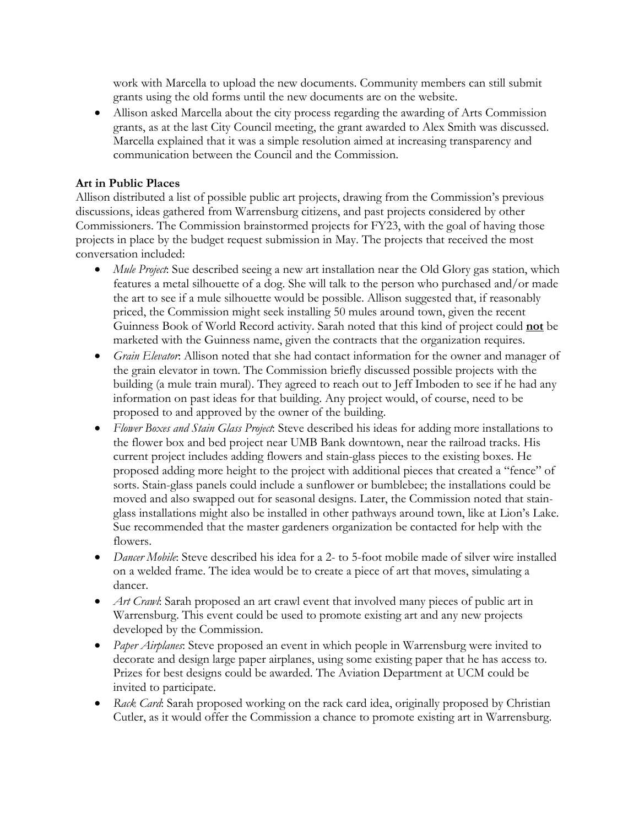work with Marcella to upload the new documents. Community members can still submit grants using the old forms until the new documents are on the website.

• Allison asked Marcella about the city process regarding the awarding of Arts Commission grants, as at the last City Council meeting, the grant awarded to Alex Smith was discussed. Marcella explained that it was a simple resolution aimed at increasing transparency and communication between the Council and the Commission.

# **Art in Public Places**

Allison distributed a list of possible public art projects, drawing from the Commission's previous discussions, ideas gathered from Warrensburg citizens, and past projects considered by other Commissioners. The Commission brainstormed projects for FY23, with the goal of having those projects in place by the budget request submission in May. The projects that received the most conversation included:

- *Mule Project*: Sue described seeing a new art installation near the Old Glory gas station, which features a metal silhouette of a dog. She will talk to the person who purchased and/or made the art to see if a mule silhouette would be possible. Allison suggested that, if reasonably priced, the Commission might seek installing 50 mules around town, given the recent Guinness Book of World Record activity. Sarah noted that this kind of project could **not** be marketed with the Guinness name, given the contracts that the organization requires.
- *Grain Elevator*: Allison noted that she had contact information for the owner and manager of the grain elevator in town. The Commission briefly discussed possible projects with the building (a mule train mural). They agreed to reach out to Jeff Imboden to see if he had any information on past ideas for that building. Any project would, of course, need to be proposed to and approved by the owner of the building.
- *Flower Boxes and Stain Glass Project*: Steve described his ideas for adding more installations to the flower box and bed project near UMB Bank downtown, near the railroad tracks. His current project includes adding flowers and stain-glass pieces to the existing boxes. He proposed adding more height to the project with additional pieces that created a "fence" of sorts. Stain-glass panels could include a sunflower or bumblebee; the installations could be moved and also swapped out for seasonal designs. Later, the Commission noted that stainglass installations might also be installed in other pathways around town, like at Lion's Lake. Sue recommended that the master gardeners organization be contacted for help with the flowers.
- *Dancer Mobile*: Steve described his idea for a 2- to 5-foot mobile made of silver wire installed on a welded frame. The idea would be to create a piece of art that moves, simulating a dancer.
- *Art Crawl*: Sarah proposed an art crawl event that involved many pieces of public art in Warrensburg. This event could be used to promote existing art and any new projects developed by the Commission.
- *Paper Airplanes*: Steve proposed an event in which people in Warrensburg were invited to decorate and design large paper airplanes, using some existing paper that he has access to. Prizes for best designs could be awarded. The Aviation Department at UCM could be invited to participate.
- *Rack Card*: Sarah proposed working on the rack card idea, originally proposed by Christian Cutler, as it would offer the Commission a chance to promote existing art in Warrensburg.